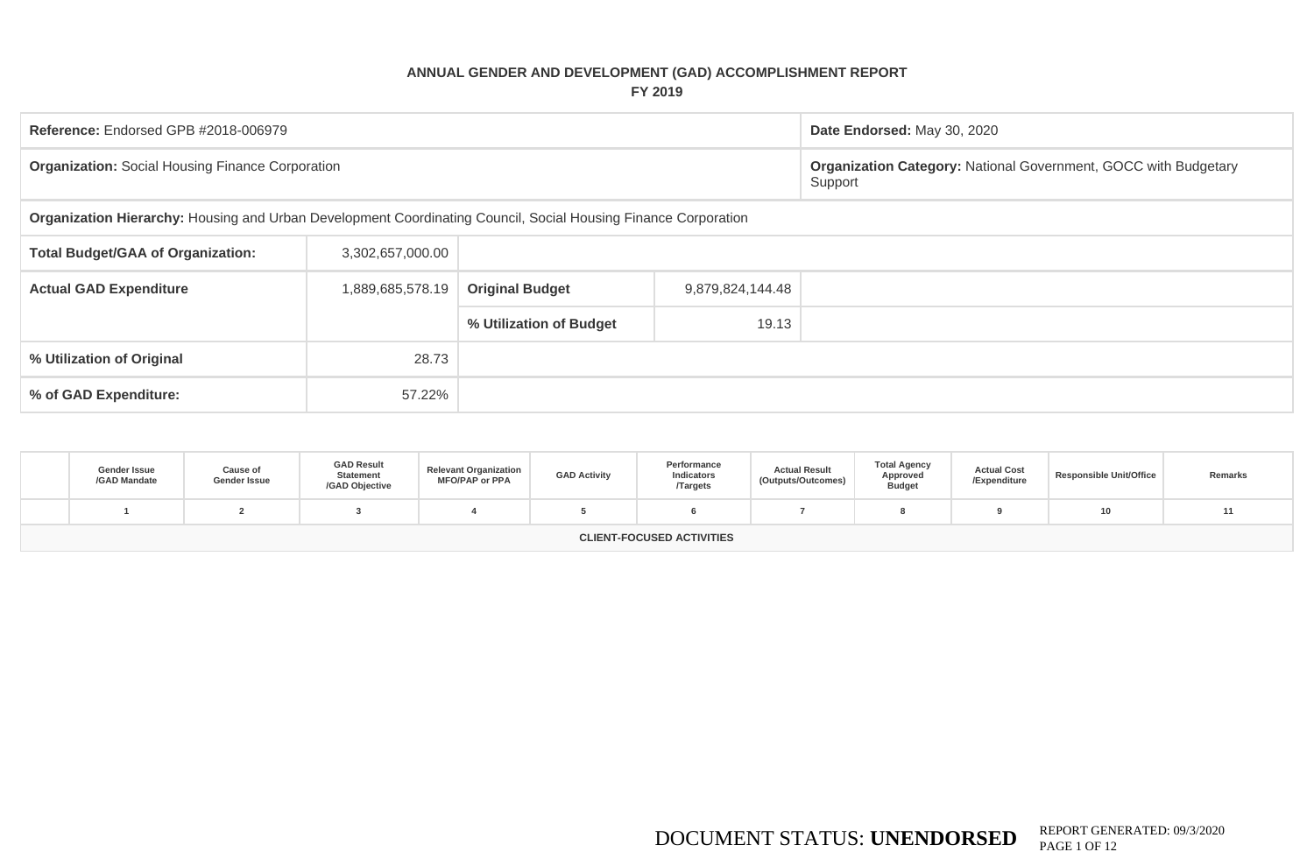## **ANNUAL GENDER AND DEVELOPMENT (GAD) ACCOMPLISHMENT REPORT FY 2019**

| Reference: Endorsed GPB #2018-006979                                                                           |                  |                         |                  | Date Endorsed: May 30, 2020                                                       |
|----------------------------------------------------------------------------------------------------------------|------------------|-------------------------|------------------|-----------------------------------------------------------------------------------|
| <b>Organization: Social Housing Finance Corporation</b>                                                        |                  |                         |                  | <b>Organization Category: National Government, GOCC with Budgetary</b><br>Support |
| Organization Hierarchy: Housing and Urban Development Coordinating Council, Social Housing Finance Corporation |                  |                         |                  |                                                                                   |
| <b>Total Budget/GAA of Organization:</b>                                                                       |                  |                         |                  |                                                                                   |
| <b>Actual GAD Expenditure</b>                                                                                  | 1,889,685,578.19 | <b>Original Budget</b>  | 9,879,824,144.48 |                                                                                   |
|                                                                                                                |                  | % Utilization of Budget | 19.13            |                                                                                   |
| % Utilization of Original                                                                                      | 28.73            |                         |                  |                                                                                   |
| % of GAD Expenditure:                                                                                          |                  |                         |                  |                                                                                   |

| Gender Issue<br>/GAD Mandate | Cause of<br>Gender Issue | <b>GAD Result</b><br><b>Statement</b><br>/GAD Objective | <b>Relevant Organization</b><br><b>MFO/PAP or PPA</b> | <b>GAD Activity</b> | Performance<br>Indicators<br><b>Targets</b> | <b>Actual Result</b><br>(Outputs/Outcomes) | <b>Total Agency</b><br>Approved<br><b>Budget</b> | <b>Actual Cost</b><br>/Expenditure | <b>Responsible Unit/Office</b> | Remarks |
|------------------------------|--------------------------|---------------------------------------------------------|-------------------------------------------------------|---------------------|---------------------------------------------|--------------------------------------------|--------------------------------------------------|------------------------------------|--------------------------------|---------|
|                              |                          |                                                         |                                                       |                     |                                             |                                            |                                                  |                                    |                                |         |
|                              |                          |                                                         |                                                       |                     | <b>CLIENT-FOCUSED ACTIVITIES</b>            |                                            |                                                  |                                    |                                |         |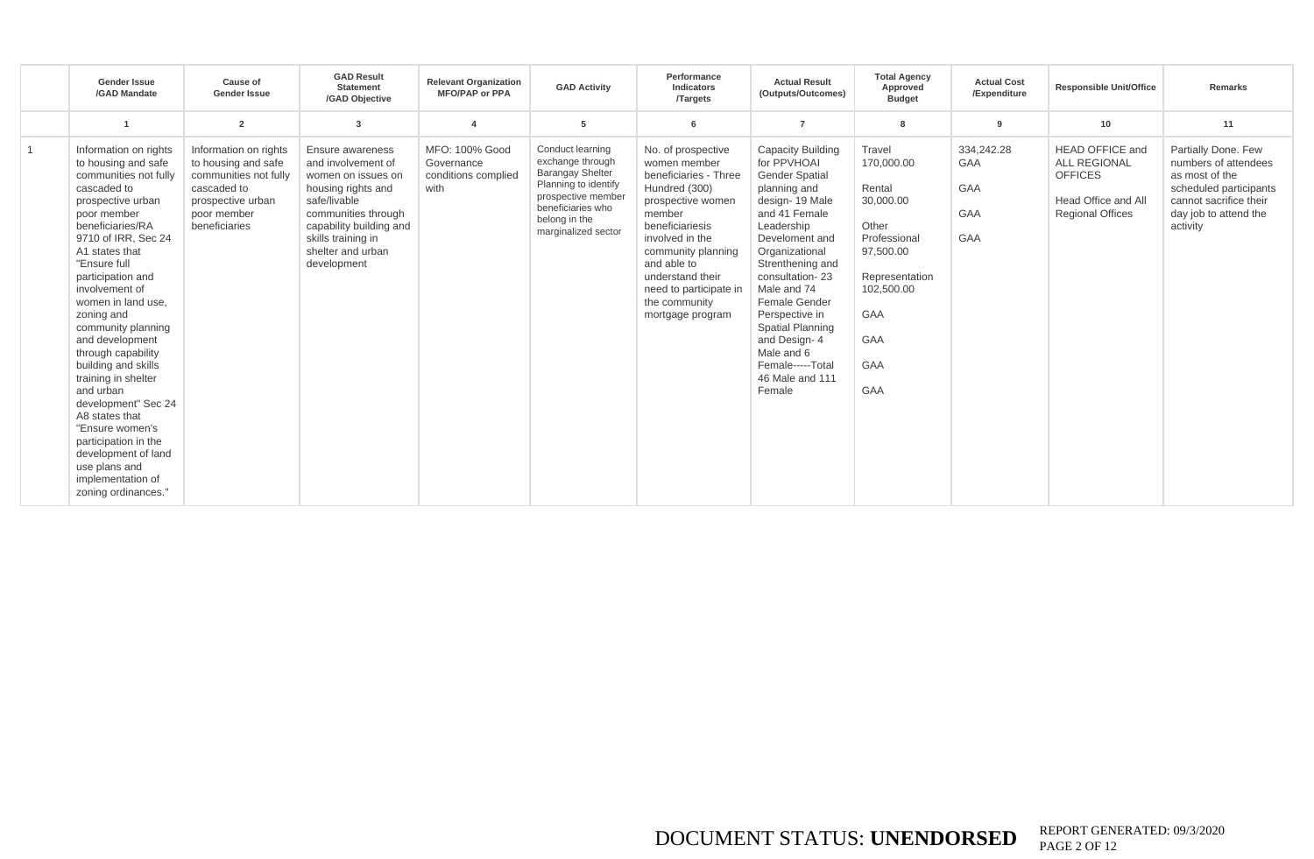|                | <b>Gender Issue</b><br>/GAD Mandate                                                                                                                                                                                                                                                                                                                                                                                                                                                                                                                                                | Cause of<br><b>Gender Issue</b>                                                                                                           | <b>GAD Result</b><br><b>Statement</b><br>/GAD Objective                                                                                                                                                        | <b>Relevant Organization</b><br><b>MFO/PAP or PPA</b>       | <b>GAD Activity</b>                                                                                                                                                        | Performance<br>Indicators<br><b>Targets</b>                                                                                                                                                                                                                               | <b>Actual Result</b><br>(Outputs/Outcomes)                                                                                                                                                                                                                                                                                                                 | <b>Total Agency</b><br>Approved<br><b>Budget</b>                                                                                                     | <b>Actual Cost</b><br>/Expenditure            | <b>Responsible Unit/Office</b>                                                                                    | Remarks                                                                                                                                                |
|----------------|------------------------------------------------------------------------------------------------------------------------------------------------------------------------------------------------------------------------------------------------------------------------------------------------------------------------------------------------------------------------------------------------------------------------------------------------------------------------------------------------------------------------------------------------------------------------------------|-------------------------------------------------------------------------------------------------------------------------------------------|----------------------------------------------------------------------------------------------------------------------------------------------------------------------------------------------------------------|-------------------------------------------------------------|----------------------------------------------------------------------------------------------------------------------------------------------------------------------------|---------------------------------------------------------------------------------------------------------------------------------------------------------------------------------------------------------------------------------------------------------------------------|------------------------------------------------------------------------------------------------------------------------------------------------------------------------------------------------------------------------------------------------------------------------------------------------------------------------------------------------------------|------------------------------------------------------------------------------------------------------------------------------------------------------|-----------------------------------------------|-------------------------------------------------------------------------------------------------------------------|--------------------------------------------------------------------------------------------------------------------------------------------------------|
|                |                                                                                                                                                                                                                                                                                                                                                                                                                                                                                                                                                                                    | $\overline{2}$                                                                                                                            | 3                                                                                                                                                                                                              |                                                             | 5                                                                                                                                                                          | -6                                                                                                                                                                                                                                                                        | $\overline{7}$                                                                                                                                                                                                                                                                                                                                             |                                                                                                                                                      | -9                                            | 10                                                                                                                | 11                                                                                                                                                     |
| $\overline{1}$ | Information on rights<br>to housing and safe<br>communities not fully<br>cascaded to<br>prospective urban<br>poor member<br>beneficiaries/RA<br>9710 of IRR, Sec 24<br>A1 states that<br>"Ensure full<br>participation and<br>involvement of<br>women in land use.<br>zoning and<br>community planning<br>and development<br>through capability<br>building and skills<br>training in shelter<br>and urban<br>development" Sec 24<br>A8 states that<br>"Ensure women's<br>participation in the<br>development of land<br>use plans and<br>implementation of<br>zoning ordinances." | Information on rights<br>to housing and safe<br>communities not fully<br>cascaded to<br>prospective urban<br>poor member<br>beneficiaries | Ensure awareness<br>and involvement of<br>women on issues on<br>housing rights and<br>safe/livable<br>communities through<br>capability building and<br>skills training in<br>shelter and urban<br>development | MFO: 100% Good<br>Governance<br>conditions complied<br>with | Conduct learning<br>exchange through<br><b>Barangay Shelter</b><br>Planning to identify<br>prospective member<br>beneficiaries who<br>belong in the<br>marginalized sector | No. of prospective<br>women member<br>beneficiaries - Three<br>Hundred (300)<br>prospective women<br>member<br>beneficiariesis<br>involved in the<br>community planning<br>and able to<br>understand their<br>need to participate in<br>the community<br>mortgage program | Capacity Building<br>for PPVHOAI<br><b>Gender Spatial</b><br>planning and<br>design-19 Male<br>and 41 Female<br>Leadership<br>Develoment and<br>Organizational<br>Strenthening and<br>consultation-23<br>Male and 74<br>Female Gender<br>Perspective in<br>Spatial Planning<br>and Design-4<br>Male and 6<br>Female-----Total<br>46 Male and 111<br>Female | Travel<br>170,000.00<br>Rental<br>30,000.00<br>Other<br>Professional<br>97,500.00<br>Representation<br>102,500.00<br>GAA<br><b>GAA</b><br>GAA<br>GAA | 334,242.28<br><b>GAA</b><br>GAA<br>GAA<br>GAA | <b>HEAD OFFICE and</b><br><b>ALL REGIONAL</b><br><b>OFFICES</b><br>Head Office and All<br><b>Regional Offices</b> | Partially Done. Few<br>numbers of attendees<br>as most of the<br>scheduled participants<br>cannot sacrifice their<br>day job to attend the<br>activity |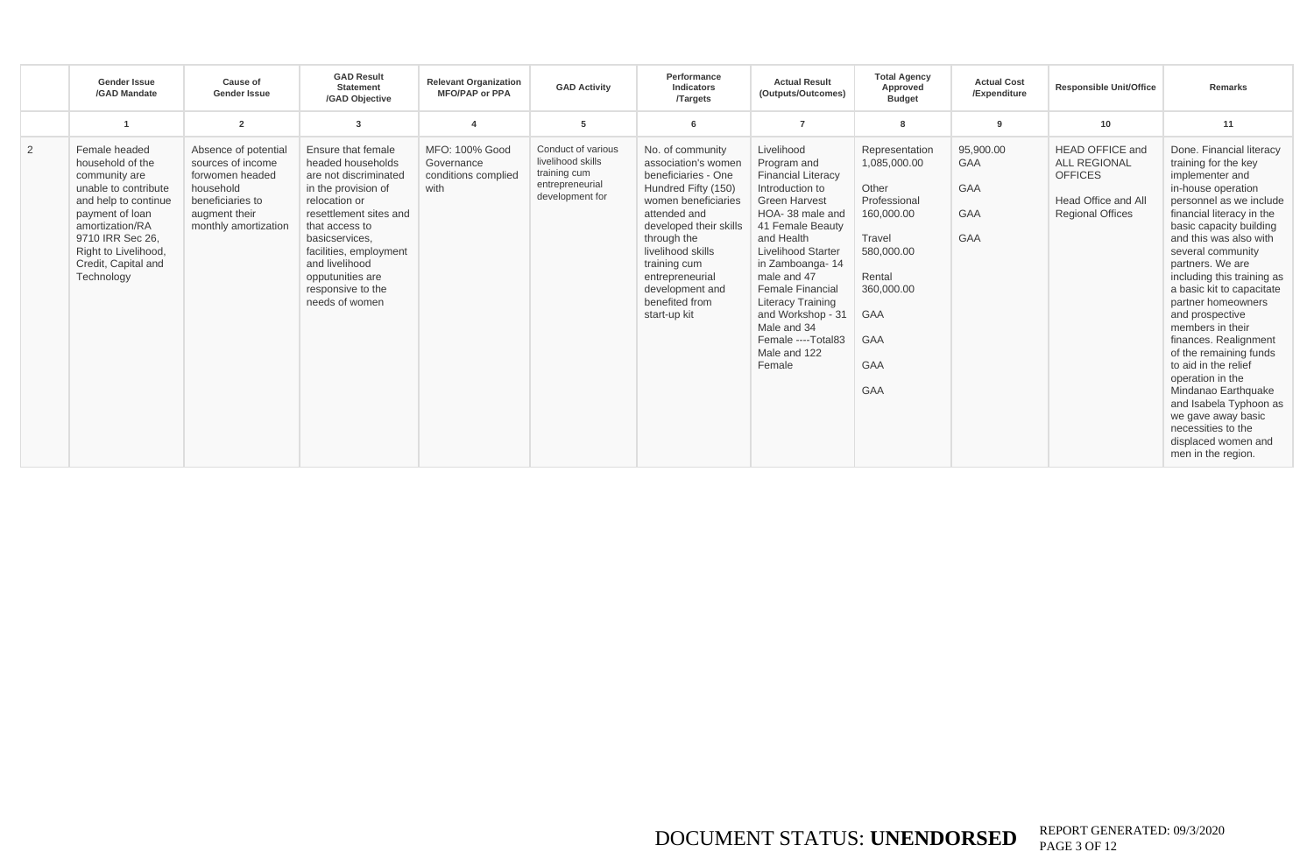|                | <b>Gender Issue</b><br>/GAD Mandate                                                                                                                                                                                       | Cause of<br><b>Gender Issue</b>                                                                                                        | <b>GAD Result</b><br><b>Statement</b><br>/GAD Objective                                                                                                                                                                                                                       | <b>Relevant Organization</b><br><b>MFO/PAP or PPA</b>       | <b>GAD Activity</b>                                                                           | Performance<br>Indicators<br><b>Targets</b>                                                                                                                                                                                                                                        | <b>Actual Result</b><br>(Outputs/Outcomes)                                                                                                                                                                                                                                                                                                                       | <b>Total Agency</b><br>Approved<br><b>Budget</b>                                                                                                                | <b>Actual Cost</b><br>/Expenditure           | <b>Responsible Unit/Office</b>                                                                                    | Remarks                                                                                                                                                                                                                                                                                                                                                                                                                                                                                                                                                                                                          |
|----------------|---------------------------------------------------------------------------------------------------------------------------------------------------------------------------------------------------------------------------|----------------------------------------------------------------------------------------------------------------------------------------|-------------------------------------------------------------------------------------------------------------------------------------------------------------------------------------------------------------------------------------------------------------------------------|-------------------------------------------------------------|-----------------------------------------------------------------------------------------------|------------------------------------------------------------------------------------------------------------------------------------------------------------------------------------------------------------------------------------------------------------------------------------|------------------------------------------------------------------------------------------------------------------------------------------------------------------------------------------------------------------------------------------------------------------------------------------------------------------------------------------------------------------|-----------------------------------------------------------------------------------------------------------------------------------------------------------------|----------------------------------------------|-------------------------------------------------------------------------------------------------------------------|------------------------------------------------------------------------------------------------------------------------------------------------------------------------------------------------------------------------------------------------------------------------------------------------------------------------------------------------------------------------------------------------------------------------------------------------------------------------------------------------------------------------------------------------------------------------------------------------------------------|
|                |                                                                                                                                                                                                                           | $\overline{2}$                                                                                                                         | 3                                                                                                                                                                                                                                                                             |                                                             | 5                                                                                             |                                                                                                                                                                                                                                                                                    |                                                                                                                                                                                                                                                                                                                                                                  |                                                                                                                                                                 | 9                                            | 10                                                                                                                | 11                                                                                                                                                                                                                                                                                                                                                                                                                                                                                                                                                                                                               |
| $\overline{2}$ | Female headed<br>household of the<br>community are<br>unable to contribute<br>and help to continue<br>payment of loan<br>amortization/RA<br>9710 IRR Sec 26.<br>Right to Livelihood,<br>Credit, Capital and<br>Technology | Absence of potential<br>sources of income<br>forwomen headed<br>household<br>beneficiaries to<br>augment their<br>monthly amortization | Ensure that female<br>headed households<br>are not discriminated<br>in the provision of<br>relocation or<br>resettlement sites and<br>that access to<br>basicservices.<br>facilities, employment<br>and livelihood<br>opputunities are<br>responsive to the<br>needs of women | MFO: 100% Good<br>Governance<br>conditions complied<br>with | Conduct of various<br>livelihood skills<br>training cum<br>entrepreneurial<br>development for | No. of community<br>association's women<br>beneficiaries - One<br>Hundred Fifty (150)<br>women beneficiaries<br>attended and<br>developed their skills<br>through the<br>livelihood skills<br>training cum<br>entrepreneurial<br>development and<br>benefited from<br>start-up kit | Livelihood<br>Program and<br><b>Financial Literacy</b><br>Introduction to<br><b>Green Harvest</b><br>HOA-38 male and<br>41 Female Beauty<br>and Health<br><b>Livelihood Starter</b><br>in Zamboanga-14<br>male and 47<br><b>Female Financial</b><br><b>Literacy Training</b><br>and Workshop - 31<br>Male and 34<br>Female ----Total83<br>Male and 122<br>Female | Representation<br>1,085,000.00<br>Other<br>Professional<br>160,000.00<br>Travel<br>580,000.00<br>Rental<br>360,000.00<br><b>GAA</b><br>GAA<br>GAA<br><b>GAA</b> | 95,900.00<br><b>GAA</b><br>GAA<br>GAA<br>GAA | <b>HEAD OFFICE and</b><br><b>ALL REGIONAL</b><br><b>OFFICES</b><br>Head Office and All<br><b>Regional Offices</b> | Done. Financial literacy<br>training for the key<br>implementer and<br>in-house operation<br>personnel as we include<br>financial literacy in the<br>basic capacity building<br>and this was also with<br>several community<br>partners. We are<br>including this training as<br>a basic kit to capacitate<br>partner homeowners<br>and prospective<br>members in their<br>finances. Realignment<br>of the remaining funds<br>to aid in the relief<br>operation in the<br>Mindanao Earthquake<br>and Isabela Typhoon as<br>we gave away basic<br>necessities to the<br>displaced women and<br>men in the region. |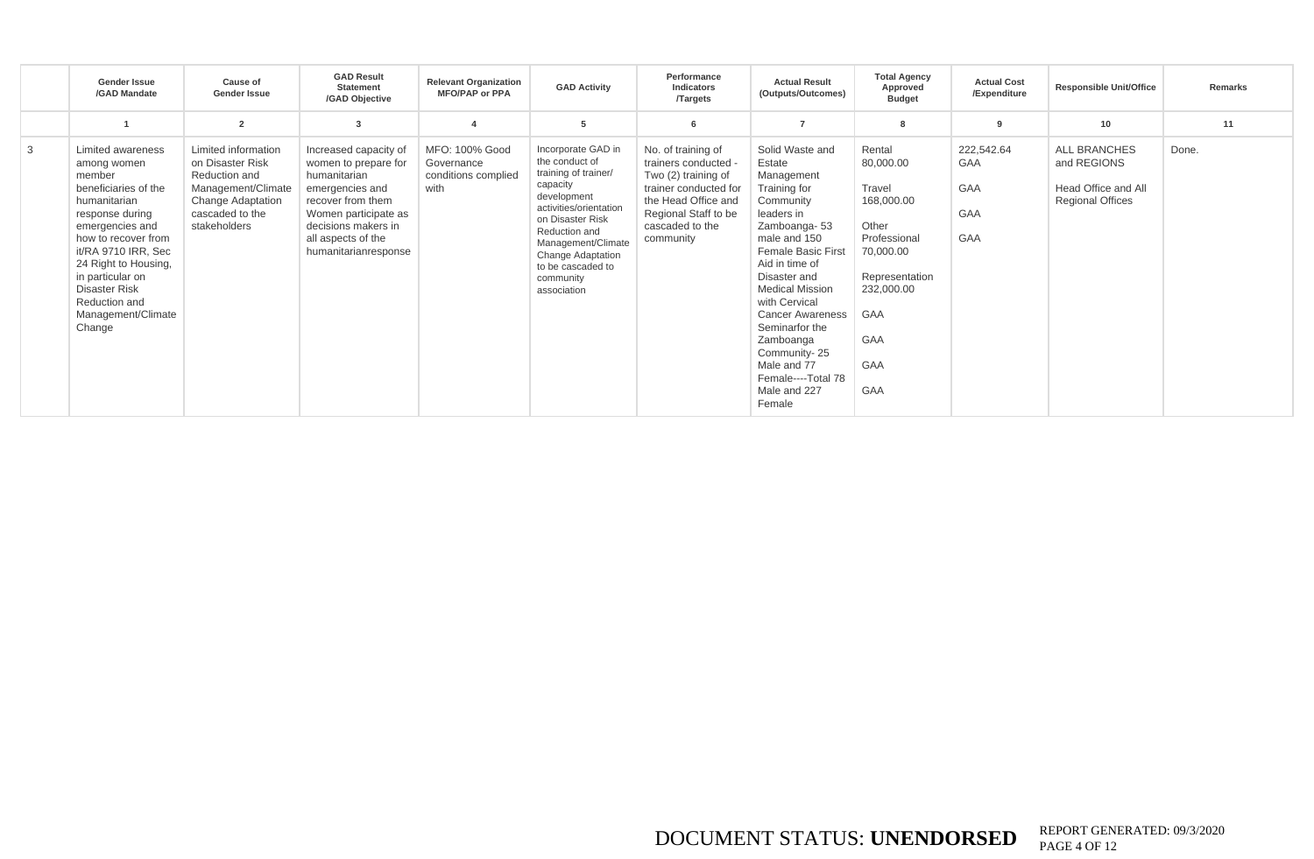|   | Gender Issue<br>/GAD Mandate                                                                                                                                                                                                                                                                | Cause of<br><b>Gender Issue</b>                                                                                                               | <b>GAD Result</b><br><b>Statement</b><br>/GAD Objective                                                                                                                                            | <b>Relevant Organization</b><br><b>MFO/PAP or PPA</b>       | <b>GAD Activity</b>                                                                                                                                                                                                                                       | Performance<br>Indicators<br><b>Targets</b>                                                                                                                               | <b>Actual Result</b><br>(Outputs/Outcomes)                                                                                                                                                                                                                                                                                                                     | <b>Total Agency</b><br>Approved<br><b>Budget</b>                                                                                              | <b>Actual Cost</b><br>/Expenditure     | <b>Responsible Unit/Office</b>                                                | Remarks |
|---|---------------------------------------------------------------------------------------------------------------------------------------------------------------------------------------------------------------------------------------------------------------------------------------------|-----------------------------------------------------------------------------------------------------------------------------------------------|----------------------------------------------------------------------------------------------------------------------------------------------------------------------------------------------------|-------------------------------------------------------------|-----------------------------------------------------------------------------------------------------------------------------------------------------------------------------------------------------------------------------------------------------------|---------------------------------------------------------------------------------------------------------------------------------------------------------------------------|----------------------------------------------------------------------------------------------------------------------------------------------------------------------------------------------------------------------------------------------------------------------------------------------------------------------------------------------------------------|-----------------------------------------------------------------------------------------------------------------------------------------------|----------------------------------------|-------------------------------------------------------------------------------|---------|
|   |                                                                                                                                                                                                                                                                                             | $\overline{2}$                                                                                                                                | 3                                                                                                                                                                                                  |                                                             | 5                                                                                                                                                                                                                                                         | -6                                                                                                                                                                        |                                                                                                                                                                                                                                                                                                                                                                |                                                                                                                                               | 9                                      | 10 <sup>1</sup>                                                               | 11      |
| 3 | Limited awareness<br>among women<br>member<br>beneficiaries of the<br>humanitarian<br>response during<br>emergencies and<br>how to recover from<br>it/RA 9710 IRR, Sec<br>24 Right to Housing,<br>in particular on<br><b>Disaster Risk</b><br>Reduction and<br>Management/Climate<br>Change | Limited information<br>on Disaster Risk<br>Reduction and<br>Management/Climate<br><b>Change Adaptation</b><br>cascaded to the<br>stakeholders | Increased capacity of<br>women to prepare for<br>humanitarian<br>emergencies and<br>recover from them<br>Women participate as<br>decisions makers in<br>all aspects of the<br>humanitarianresponse | MFO: 100% Good<br>Governance<br>conditions complied<br>with | Incorporate GAD in<br>the conduct of<br>training of trainer/<br>capacity<br>development<br>activities/orientation<br>on Disaster Risk<br>Reduction and<br>Management/Climate<br><b>Change Adaptation</b><br>to be cascaded to<br>community<br>association | No. of training of<br>trainers conducted -<br>Two (2) training of<br>trainer conducted for<br>the Head Office and<br>Regional Staff to be<br>cascaded to the<br>community | Solid Waste and<br>Estate<br>Management<br>Training for<br>Community<br>leaders in<br>Zamboanga-53<br>male and 150<br>Female Basic First<br>Aid in time of<br>Disaster and<br><b>Medical Mission</b><br>with Cervical<br><b>Cancer Awareness</b><br>Seminarfor the<br>Zamboanga<br>Community-25<br>Male and 77<br>Female----Total 78<br>Male and 227<br>Female | Rental<br>80,000.00<br>Travel<br>168,000.00<br>Other<br>Professional<br>70,000.00<br>Representation<br>232,000.00<br>GAA<br>GAA<br>GAA<br>GAA | 222,542.64<br>GAA<br>GAA<br>GAA<br>GAA | ALL BRANCHES<br>and REGIONS<br>Head Office and All<br><b>Regional Offices</b> | Done.   |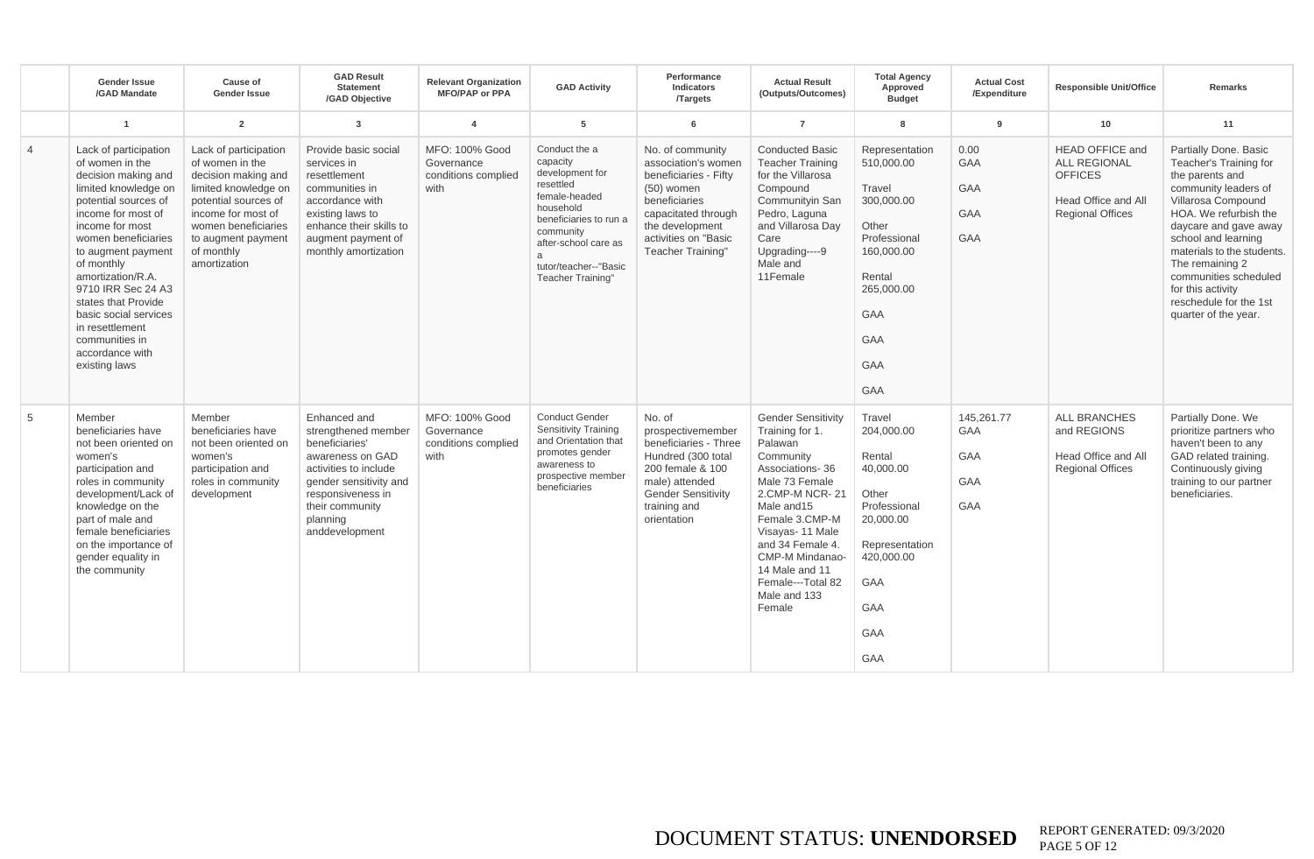|                | <b>Gender Issue</b><br>/GAD Mandate                                                                                                                                                                                                                                                                                                                                                     | Cause of<br>Gender Issue                                                                                                                                                                                         | <b>GAD Result</b><br><b>Statement</b><br>/GAD Objective                                                                                                                                            | <b>Relevant Organization</b><br><b>MFO/PAP or PPA</b>       | <b>GAD Activity</b>                                                                                                                                                                                                          | Performance<br><b>Indicators</b><br><b>Targets</b>                                                                                                                                              | <b>Actual Result</b><br>(Outputs/Outcomes)                                                                                                                                                                                                                                               | <b>Total Agency</b><br>Approved<br><b>Budget</b>                                                                                                                            | <b>Actual Cost</b><br>/Expenditure                                 | <b>Responsible Unit/Office</b>                                                                                    | Remarks                                                                                                                                                                                                                                                                                                                                    |
|----------------|-----------------------------------------------------------------------------------------------------------------------------------------------------------------------------------------------------------------------------------------------------------------------------------------------------------------------------------------------------------------------------------------|------------------------------------------------------------------------------------------------------------------------------------------------------------------------------------------------------------------|----------------------------------------------------------------------------------------------------------------------------------------------------------------------------------------------------|-------------------------------------------------------------|------------------------------------------------------------------------------------------------------------------------------------------------------------------------------------------------------------------------------|-------------------------------------------------------------------------------------------------------------------------------------------------------------------------------------------------|------------------------------------------------------------------------------------------------------------------------------------------------------------------------------------------------------------------------------------------------------------------------------------------|-----------------------------------------------------------------------------------------------------------------------------------------------------------------------------|--------------------------------------------------------------------|-------------------------------------------------------------------------------------------------------------------|--------------------------------------------------------------------------------------------------------------------------------------------------------------------------------------------------------------------------------------------------------------------------------------------------------------------------------------------|
|                | $\overline{1}$                                                                                                                                                                                                                                                                                                                                                                          | $\overline{2}$                                                                                                                                                                                                   | $\mathbf{3}$                                                                                                                                                                                       | $\overline{4}$                                              | 5                                                                                                                                                                                                                            | 6                                                                                                                                                                                               | $\overline{7}$                                                                                                                                                                                                                                                                           | 8                                                                                                                                                                           | $\mathbf{g}$                                                       | 10                                                                                                                | 11                                                                                                                                                                                                                                                                                                                                         |
| $\overline{4}$ | Lack of participation<br>of women in the<br>decision making and<br>limited knowledge on<br>potential sources of<br>income for most of<br>income for most<br>women beneficiaries<br>to augment payment<br>of monthly<br>amortization/R.A.<br>9710 IRR Sec 24 A3<br>states that Provide<br>basic social services<br>in resettlement<br>communities in<br>accordance with<br>existing laws | Lack of participation<br>of women in the<br>decision making and<br>limited knowledge on<br>potential sources of<br>income for most of<br>women beneficiaries<br>to augment payment<br>of monthly<br>amortization | Provide basic social<br>services in<br>resettlement<br>communities in<br>accordance with<br>existing laws to<br>enhance their skills to<br>augment payment of<br>monthly amortization              | MFO: 100% Good<br>Governance<br>conditions complied<br>with | Conduct the a<br>capacity<br>development for<br>resettled<br>female-headed<br>household<br>beneficiaries to run a<br>community<br>after-school care as<br>$\mathcal{A}$<br>tutor/teacher--"Basic<br><b>Teacher Training"</b> | No. of community<br>association's women<br>beneficiaries - Fifty<br>$(50)$ women<br>beneficiaries<br>capacitated through<br>the development<br>activities on "Basic<br><b>Teacher Training"</b> | <b>Conducted Basic</b><br><b>Teacher Training</b><br>for the Villarosa<br>Compound<br>Communityin San<br>Pedro, Laguna<br>and Villarosa Day<br>Care<br>Upgrading----9<br>Male and<br>11Female                                                                                            | Representation<br>510,000.00<br>Travel<br>300.000.00<br>Other<br>Professional<br>160,000.00<br>Rental<br>265,000.00<br><b>GAA</b><br><b>GAA</b><br><b>GAA</b><br><b>GAA</b> | 0.00<br><b>GAA</b><br><b>GAA</b><br><b>GAA</b><br>GAA              | <b>HEAD OFFICE and</b><br><b>ALL REGIONAL</b><br><b>OFFICES</b><br>Head Office and All<br><b>Regional Offices</b> | Partially Done. Basic<br>Teacher's Training for<br>the parents and<br>community leaders of<br>Villarosa Compound<br>HOA. We refurbish the<br>daycare and gave away<br>school and learning<br>materials to the students.<br>The remaining 2<br>communities scheduled<br>for this activity<br>reschedule for the 1st<br>quarter of the year. |
| 5              | Member<br>beneficiaries have<br>not been oriented on<br>women's<br>participation and<br>roles in community<br>development/Lack of<br>knowledge on the<br>part of male and<br>female beneficiaries<br>on the importance of<br>gender equality in<br>the community                                                                                                                        | Member<br>beneficiaries have<br>not been oriented on<br>women's<br>participation and<br>roles in community<br>development                                                                                        | Enhanced and<br>strengthened member<br>beneficiaries'<br>awareness on GAD<br>activities to include<br>gender sensitivity and<br>responsiveness in<br>their community<br>planning<br>anddevelopment | MFO: 100% Good<br>Governance<br>conditions complied<br>with | <b>Conduct Gender</b><br><b>Sensitivity Training</b><br>and Orientation that<br>promotes gender<br>awareness to<br>prospective member<br>beneficiaries                                                                       | No. of<br>prospectivemember<br>beneficiaries - Three<br>Hundred (300 total<br>200 female & 100<br>male) attended<br><b>Gender Sensitivity</b><br>training and<br>orientation                    | <b>Gender Sensitivity</b><br>Training for 1.<br>Palawan<br>Community<br>Associations-36<br>Male 73 Female<br>2.CMP-M NCR-21<br>Male and 15<br>Female 3.CMP-M<br>Visayas- 11 Male<br>and 34 Female 4.<br>CMP-M Mindanao-<br>14 Male and 11<br>Female---Total 82<br>Male and 133<br>Female | Travel<br>204,000.00<br>Rental<br>40.000.00<br>Other<br>Professional<br>20,000.00<br>Representation<br>420,000.00<br><b>GAA</b><br>GAA<br><b>GAA</b><br><b>GAA</b>          | 145.261.77<br><b>GAA</b><br><b>GAA</b><br><b>GAA</b><br><b>GAA</b> | <b>ALL BRANCHES</b><br>and REGIONS<br>Head Office and All<br><b>Regional Offices</b>                              | Partially Done. We<br>prioritize partners who<br>haven't been to any<br>GAD related training.<br>Continuously giving<br>training to our partner<br>beneficiaries.                                                                                                                                                                          |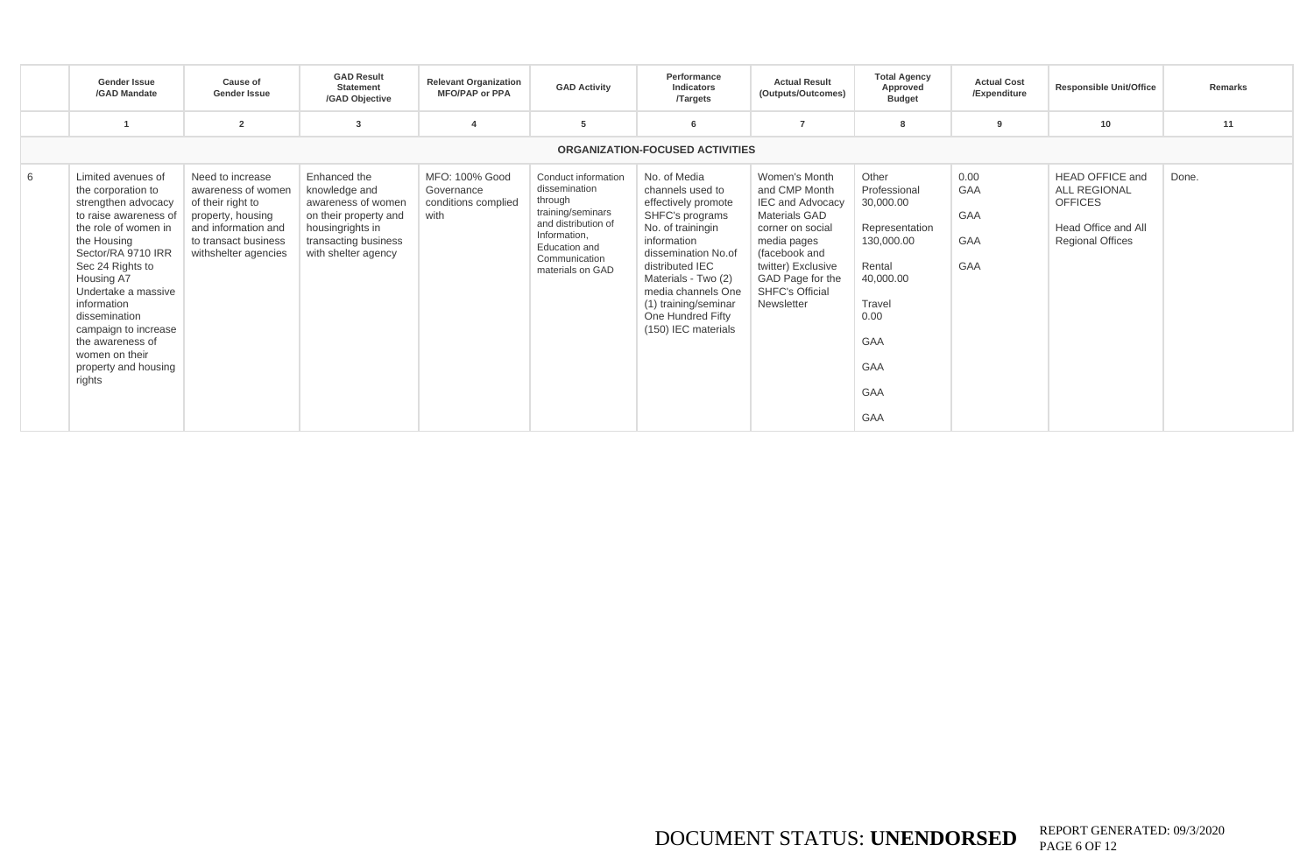|   | <b>Gender Issue</b><br>/GAD Mandate                                                                                                                                                                                                                                                                                                            | Cause of<br><b>Gender Issue</b>                                                                                                                         | <b>GAD Result</b><br><b>Statement</b><br>/GAD Objective                                                                                         | <b>Relevant Organization</b><br><b>MFO/PAP or PPA</b>       | <b>GAD Activity</b>                                                                                                                                               | Performance<br><b>Indicators</b><br><b>Targets</b>                                                                                                                                                                                                                        | <b>Actual Result</b><br>(Outputs/Outcomes)                                                                                                                                                                       | <b>Total Agency</b><br>Approved<br><b>Budget</b>                                                                                        | <b>Actual Cost</b><br>/Expenditure | <b>Responsible Unit/Office</b>                                                                                    | Remarks |
|---|------------------------------------------------------------------------------------------------------------------------------------------------------------------------------------------------------------------------------------------------------------------------------------------------------------------------------------------------|---------------------------------------------------------------------------------------------------------------------------------------------------------|-------------------------------------------------------------------------------------------------------------------------------------------------|-------------------------------------------------------------|-------------------------------------------------------------------------------------------------------------------------------------------------------------------|---------------------------------------------------------------------------------------------------------------------------------------------------------------------------------------------------------------------------------------------------------------------------|------------------------------------------------------------------------------------------------------------------------------------------------------------------------------------------------------------------|-----------------------------------------------------------------------------------------------------------------------------------------|------------------------------------|-------------------------------------------------------------------------------------------------------------------|---------|
|   |                                                                                                                                                                                                                                                                                                                                                | $\overline{2}$                                                                                                                                          | 3                                                                                                                                               | $\mathbf{A}$                                                | -5                                                                                                                                                                | 6                                                                                                                                                                                                                                                                         |                                                                                                                                                                                                                  |                                                                                                                                         | 9                                  | 10                                                                                                                | 11      |
|   |                                                                                                                                                                                                                                                                                                                                                |                                                                                                                                                         |                                                                                                                                                 |                                                             |                                                                                                                                                                   | <b>ORGANIZATION-FOCUSED ACTIVITIES</b>                                                                                                                                                                                                                                    |                                                                                                                                                                                                                  |                                                                                                                                         |                                    |                                                                                                                   |         |
| 6 | Limited avenues of<br>the corporation to<br>strengthen advocacy<br>to raise awareness of<br>the role of women in<br>the Housing<br>Sector/RA 9710 IRR<br>Sec 24 Rights to<br>Housing A7<br>Undertake a massive<br>information<br>dissemination<br>campaign to increase<br>the awareness of<br>women on their<br>property and housing<br>rights | Need to increase<br>awareness of women<br>of their right to<br>property, housing<br>and information and<br>to transact business<br>withshelter agencies | Enhanced the<br>knowledge and<br>awareness of women<br>on their property and<br>housingrights in<br>transacting business<br>with shelter agency | MFO: 100% Good<br>Governance<br>conditions complied<br>with | Conduct information<br>dissemination<br>through<br>training/seminars<br>and distribution of<br>Information.<br>Education and<br>Communication<br>materials on GAD | No. of Media<br>channels used to<br>effectively promote<br>SHFC's programs<br>No. of trainingin<br>information<br>dissemination No.of<br>distributed IEC<br>Materials - Two (2)<br>media channels One<br>(1) training/seminar<br>One Hundred Fifty<br>(150) IEC materials | Women's Month<br>and CMP Month<br><b>IEC and Advocacy</b><br>Materials GAD<br>corner on social<br>media pages<br>(facebook and<br>twitter) Exclusive<br>GAD Page for the<br><b>SHFC's Official</b><br>Newsletter | Other<br>Professional<br>30,000.00<br>Representation<br>130,000.00<br>Rental<br>40,000.00<br>Travel<br>0.00<br>GAA<br>GAA<br>GAA<br>GAA | 0.00<br>GAA<br>GAA<br>GAA<br>GAA   | <b>HEAD OFFICE and</b><br><b>ALL REGIONAL</b><br><b>OFFICES</b><br>Head Office and All<br><b>Regional Offices</b> | Done.   |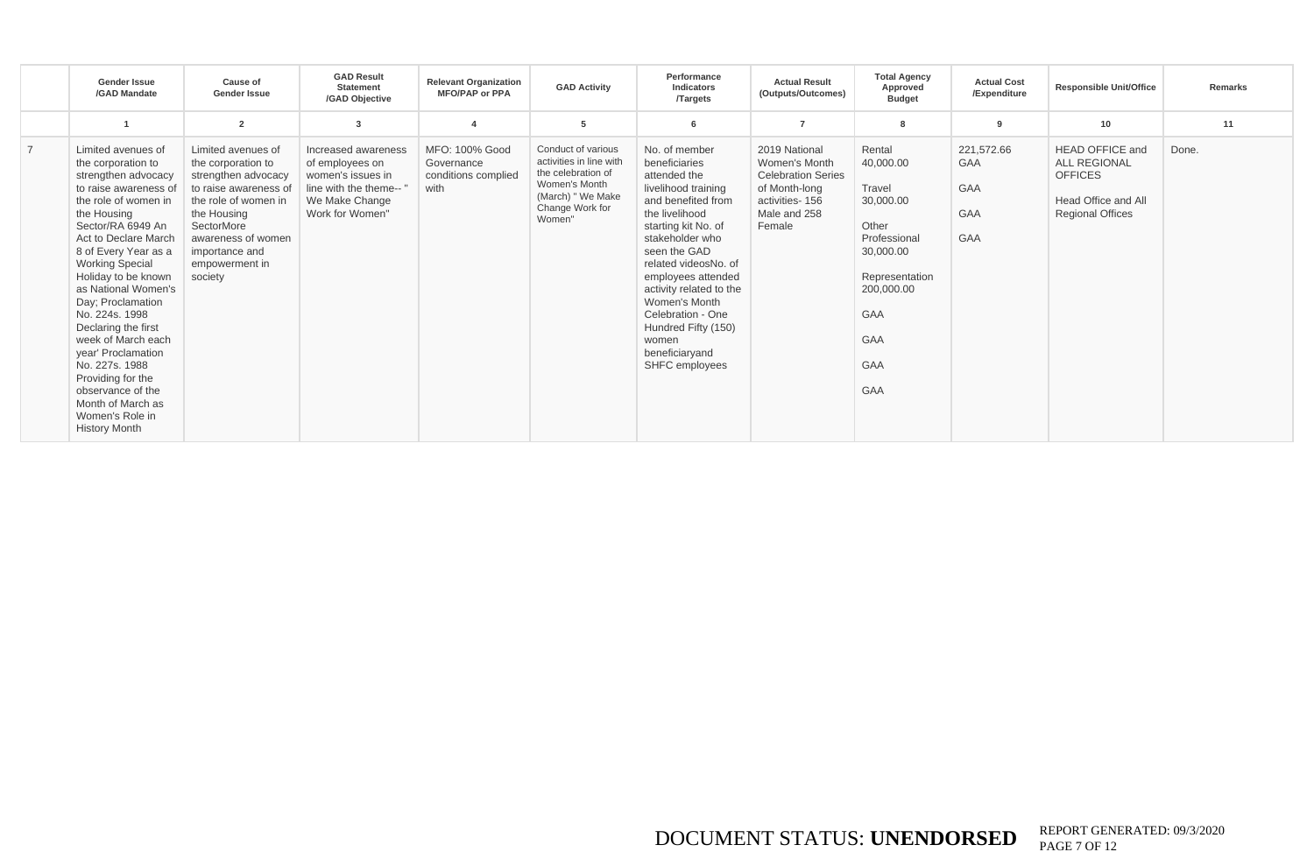|                | Gender Issue<br>/GAD Mandate                                                                                                                                                                                                                                                                                                                                                                                                                                                                                       | Cause of<br><b>Gender Issue</b>                                                                                                                                                                                    | <b>GAD Result</b><br><b>Statement</b><br>/GAD Objective                                                                    | <b>Relevant Organization</b><br><b>MFO/PAP or PPA</b>       | <b>GAD Activity</b>                                                                                                                    | Performance<br>Indicators<br><b>Targets</b>                                                                                                                                                                                                                                                                                                                | <b>Actual Result</b><br>(Outputs/Outcomes)                                                                               | <b>Total Agency</b><br>Approved<br><b>Budget</b>                                                                                                                         | <b>Actual Cost</b><br>/Expenditure                          | <b>Responsible Unit/Office</b>                                                                                    | <b>Remarks</b> |
|----------------|--------------------------------------------------------------------------------------------------------------------------------------------------------------------------------------------------------------------------------------------------------------------------------------------------------------------------------------------------------------------------------------------------------------------------------------------------------------------------------------------------------------------|--------------------------------------------------------------------------------------------------------------------------------------------------------------------------------------------------------------------|----------------------------------------------------------------------------------------------------------------------------|-------------------------------------------------------------|----------------------------------------------------------------------------------------------------------------------------------------|------------------------------------------------------------------------------------------------------------------------------------------------------------------------------------------------------------------------------------------------------------------------------------------------------------------------------------------------------------|--------------------------------------------------------------------------------------------------------------------------|--------------------------------------------------------------------------------------------------------------------------------------------------------------------------|-------------------------------------------------------------|-------------------------------------------------------------------------------------------------------------------|----------------|
|                |                                                                                                                                                                                                                                                                                                                                                                                                                                                                                                                    | $\overline{2}$                                                                                                                                                                                                     |                                                                                                                            |                                                             | 5                                                                                                                                      | 6                                                                                                                                                                                                                                                                                                                                                          | $\overline{7}$                                                                                                           |                                                                                                                                                                          | 9                                                           | 10                                                                                                                | 11             |
| $\overline{7}$ | Limited avenues of<br>the corporation to<br>strengthen advocacy<br>to raise awareness of<br>the role of women in<br>the Housing<br>Sector/RA 6949 An<br>Act to Declare March<br>8 of Every Year as a<br><b>Working Special</b><br>Holiday to be known<br>as National Women's<br>Day; Proclamation<br>No. 224s, 1998<br>Declaring the first<br>week of March each<br>year' Proclamation<br>No. 227s. 1988<br>Providing for the<br>observance of the<br>Month of March as<br>Women's Role in<br><b>History Month</b> | Limited avenues of<br>the corporation to<br>strengthen advocacy<br>to raise awareness of<br>the role of women in<br>the Housing<br>SectorMore<br>awareness of women<br>importance and<br>empowerment in<br>society | Increased awareness<br>of employees on<br>women's issues in<br>line with the theme--'<br>We Make Change<br>Work for Women" | MFO: 100% Good<br>Governance<br>conditions complied<br>with | Conduct of various<br>activities in line with<br>the celebration of<br>Women's Month<br>(March) " We Make<br>Change Work for<br>Women" | No. of member<br>beneficiaries<br>attended the<br>livelihood training<br>and benefited from<br>the livelihood<br>starting kit No. of<br>stakeholder who<br>seen the GAD<br>related videosNo, of<br>employees attended<br>activity related to the<br>Women's Month<br>Celebration - One<br>Hundred Fifty (150)<br>women<br>beneficiaryand<br>SHFC employees | 2019 National<br>Women's Month<br><b>Celebration Series</b><br>of Month-long<br>activities-156<br>Male and 258<br>Female | Rental<br>40.000.00<br>Travel<br>30,000.00<br>Other<br>Professional<br>30,000.00<br>Representation<br>200,000.00<br><b>GAA</b><br><b>GAA</b><br><b>GAA</b><br><b>GAA</b> | 221,572.66<br><b>GAA</b><br><b>GAA</b><br>GAA<br><b>GAA</b> | <b>HEAD OFFICE and</b><br><b>ALL REGIONAL</b><br><b>OFFICES</b><br>Head Office and All<br><b>Regional Offices</b> | Done.          |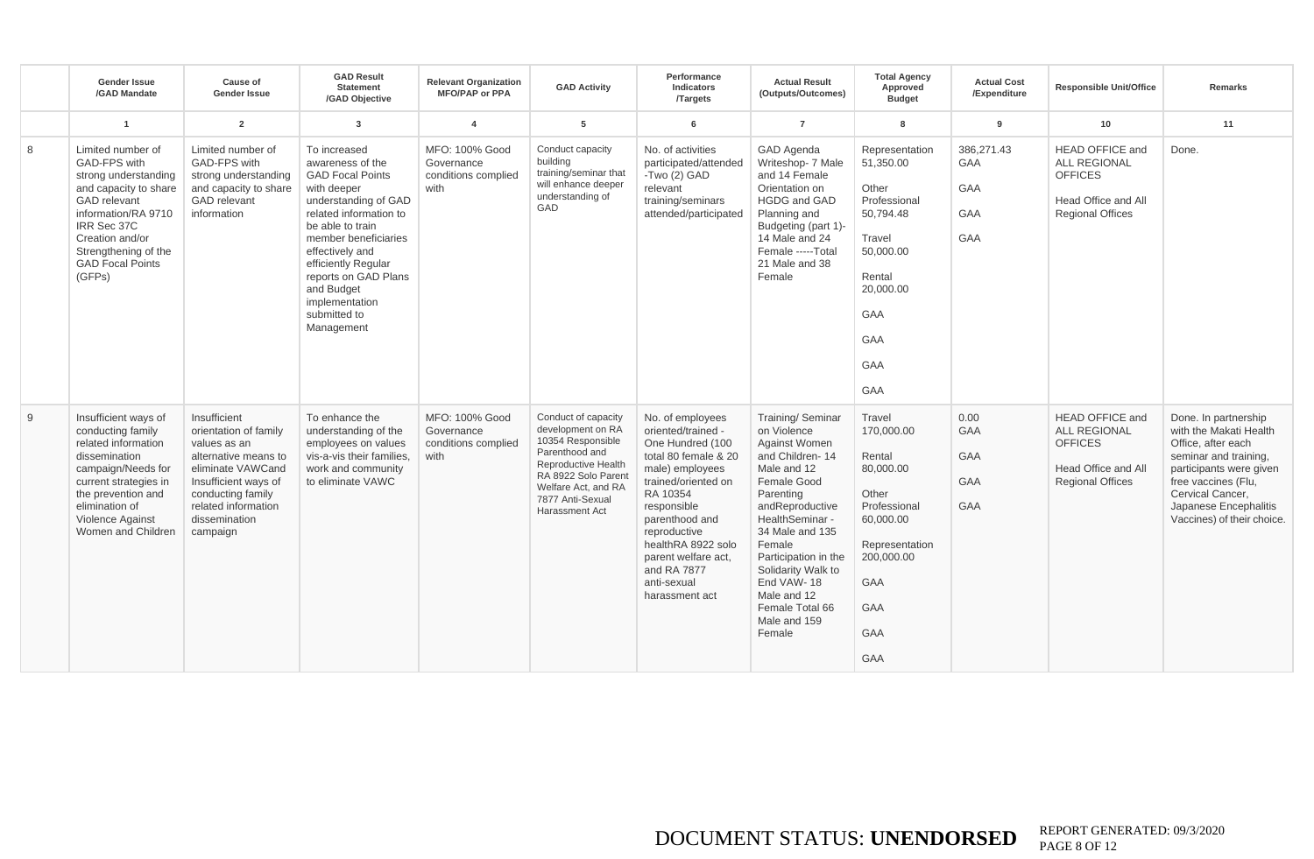|   | <b>Gender Issue</b><br>/GAD Mandate                                                                                                                                                                                             | <b>Cause of</b><br><b>Gender Issue</b>                                                                                                                                                              | <b>GAD Result</b><br><b>Statement</b><br>/GAD Objective                                                                                                                                                                                                                                                  | <b>Relevant Organization</b><br><b>MFO/PAP or PPA</b>       | <b>GAD Activity</b>                                                                                                                                                                               | Performance<br><b>Indicators</b><br><b>Targets</b>                                                                                                                                                                                                                                     | <b>Actual Result</b><br>(Outputs/Outcomes)                                                                                                                                                                                                                                                                        | <b>Total Agency</b><br>Approved<br><b>Budget</b>                                                                                                                        | <b>Actual Cost</b><br>/Expenditure            | <b>Responsible Unit/Office</b>                                                                                    | Remarks                                                                                                                                                                                                                    |
|---|---------------------------------------------------------------------------------------------------------------------------------------------------------------------------------------------------------------------------------|-----------------------------------------------------------------------------------------------------------------------------------------------------------------------------------------------------|----------------------------------------------------------------------------------------------------------------------------------------------------------------------------------------------------------------------------------------------------------------------------------------------------------|-------------------------------------------------------------|---------------------------------------------------------------------------------------------------------------------------------------------------------------------------------------------------|----------------------------------------------------------------------------------------------------------------------------------------------------------------------------------------------------------------------------------------------------------------------------------------|-------------------------------------------------------------------------------------------------------------------------------------------------------------------------------------------------------------------------------------------------------------------------------------------------------------------|-------------------------------------------------------------------------------------------------------------------------------------------------------------------------|-----------------------------------------------|-------------------------------------------------------------------------------------------------------------------|----------------------------------------------------------------------------------------------------------------------------------------------------------------------------------------------------------------------------|
|   | $\mathbf{1}$                                                                                                                                                                                                                    | $\overline{2}$                                                                                                                                                                                      | 3                                                                                                                                                                                                                                                                                                        | $\overline{4}$                                              | 5                                                                                                                                                                                                 | 6                                                                                                                                                                                                                                                                                      | $\overline{7}$                                                                                                                                                                                                                                                                                                    | 8                                                                                                                                                                       | $\mathbf{q}$                                  | 10                                                                                                                | 11                                                                                                                                                                                                                         |
| 8 | Limited number of<br>GAD-FPS with<br>strong understanding<br>and capacity to share<br><b>GAD</b> relevant<br>information/RA 9710<br>IRR Sec 37C<br>Creation and/or<br>Strenathening of the<br><b>GAD Focal Points</b><br>(GFPs) | Limited number of<br>GAD-FPS with<br>strong understanding<br>and capacity to share<br><b>GAD</b> relevant<br>information                                                                            | To increased<br>awareness of the<br><b>GAD Focal Points</b><br>with deeper<br>understanding of GAD<br>related information to<br>be able to train<br>member beneficiaries<br>effectively and<br>efficiently Regular<br>reports on GAD Plans<br>and Budget<br>implementation<br>submitted to<br>Management | MFO: 100% Good<br>Governance<br>conditions complied<br>with | Conduct capacity<br>building<br>training/seminar that<br>will enhance deeper<br>understanding of<br>GAD                                                                                           | No. of activities<br>participated/attended<br>-Two (2) GAD<br>relevant<br>training/seminars<br>attended/participated                                                                                                                                                                   | <b>GAD Agenda</b><br>Writeshop- 7 Male<br>and 14 Female<br>Orientation on<br><b>HGDG and GAD</b><br>Planning and<br>Budgeting (part 1)-<br>14 Male and 24<br>Female -----Total<br>21 Male and 38<br>Female                                                                                                        | Representation<br>51.350.00<br>Other<br>Professional<br>50.794.48<br>Travel<br>50.000.00<br>Rental<br>20,000.00<br><b>GAA</b><br><b>GAA</b><br><b>GAA</b><br><b>GAA</b> | 386.271.43<br>GAA<br>GAA<br><b>GAA</b><br>GAA | <b>HEAD OFFICE and</b><br><b>ALL REGIONAL</b><br><b>OFFICES</b><br>Head Office and All<br><b>Regional Offices</b> | Done.                                                                                                                                                                                                                      |
| 9 | Insufficient ways of<br>conducting family<br>related information<br>dissemination<br>campaign/Needs for<br>current strategies in<br>the prevention and<br>elimination of<br>Violence Against<br>Women and Children              | Insufficient<br>orientation of family<br>values as an<br>alternative means to<br>eliminate VAWCand<br>Insufficient ways of<br>conducting family<br>related information<br>dissemination<br>campaign | To enhance the<br>understanding of the<br>employees on values<br>vis-a-vis their families.<br>work and community<br>to eliminate VAWC                                                                                                                                                                    | MFO: 100% Good<br>Governance<br>conditions complied<br>with | Conduct of capacity<br>development on RA<br>10354 Responsible<br>Parenthood and<br><b>Reproductive Health</b><br>RA 8922 Solo Parent<br>Welfare Act, and RA<br>7877 Anti-Sexual<br>Harassment Act | No. of employees<br>oriented/trained -<br>One Hundred (100<br>total 80 female & 20<br>male) employees<br>trained/oriented on<br>RA 10354<br>responsible<br>parenthood and<br>reproductive<br>healthRA 8922 solo<br>parent welfare act,<br>and RA 7877<br>anti-sexual<br>harassment act | Training/ Seminar<br>on Violence<br><b>Against Women</b><br>and Children-14<br>Male and 12<br>Female Good<br>Parenting<br>andReproductive<br>HealthSeminar -<br>34 Male and 135<br>Female<br>Participation in the<br>Solidarity Walk to<br>End VAW-18<br>Male and 12<br>Female Total 66<br>Male and 159<br>Female | Travel<br>170,000.00<br>Rental<br>80,000.00<br>Other<br>Professional<br>60,000.00<br>Representation<br>200,000.00<br><b>GAA</b><br><b>GAA</b><br>GAA<br><b>GAA</b>      | 0.00<br>GAA<br>GAA<br><b>GAA</b><br>GAA       | <b>HEAD OFFICE and</b><br><b>ALL REGIONAL</b><br><b>OFFICES</b><br>Head Office and All<br><b>Regional Offices</b> | Done. In partnership<br>with the Makati Health<br>Office, after each<br>seminar and training,<br>participants were given<br>free vaccines (Flu,<br>Cervical Cancer,<br>Japanese Encephalitis<br>Vaccines) of their choice. |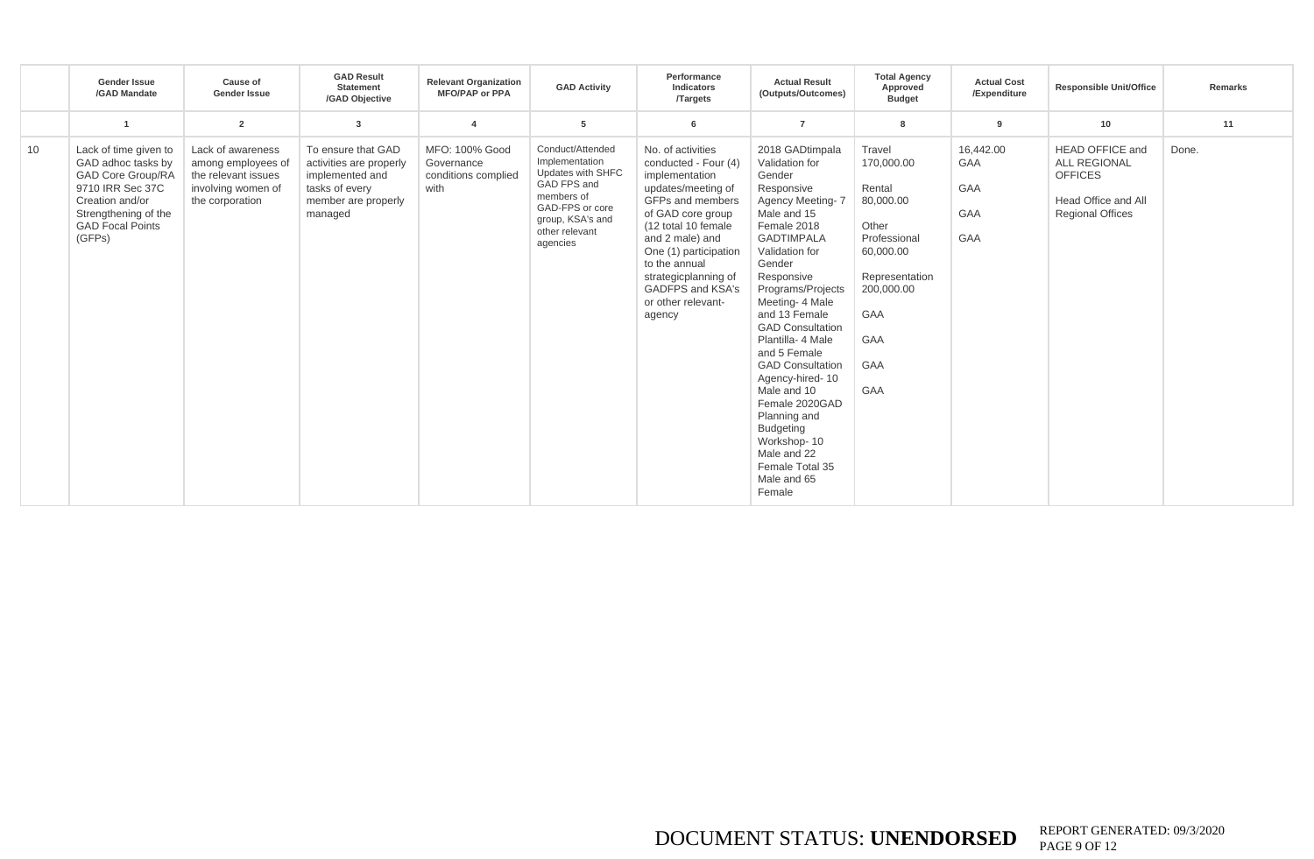|    | <b>Gender Issue</b><br>/GAD Mandate                                                                                                                                         | Cause of<br><b>Gender Issue</b>                                                                         | <b>GAD Result</b><br>Statement<br>/GAD Objective                                                                     | <b>Relevant Organization</b><br><b>MFO/PAP or PPA</b>       | <b>GAD Activity</b>                                                                                                                                       | Performance<br>Indicators<br><b>Targets</b>                                                                                                                                                                                                                                                | <b>Actual Result</b><br>(Outputs/Outcomes)                                                                                                                                                                                                                                                                                                                                                                                                                                                       | <b>Total Agency</b><br>Approved<br><b>Budget</b>                                                                                                                          | <b>Actual Cost</b><br>/Expenditure           | <b>Responsible Unit/Office</b>                                                                                    | <b>Remarks</b> |
|----|-----------------------------------------------------------------------------------------------------------------------------------------------------------------------------|---------------------------------------------------------------------------------------------------------|----------------------------------------------------------------------------------------------------------------------|-------------------------------------------------------------|-----------------------------------------------------------------------------------------------------------------------------------------------------------|--------------------------------------------------------------------------------------------------------------------------------------------------------------------------------------------------------------------------------------------------------------------------------------------|--------------------------------------------------------------------------------------------------------------------------------------------------------------------------------------------------------------------------------------------------------------------------------------------------------------------------------------------------------------------------------------------------------------------------------------------------------------------------------------------------|---------------------------------------------------------------------------------------------------------------------------------------------------------------------------|----------------------------------------------|-------------------------------------------------------------------------------------------------------------------|----------------|
|    | $\overline{1}$                                                                                                                                                              | $\overline{2}$                                                                                          | 3                                                                                                                    | $\overline{\bf{4}}$                                         | 5                                                                                                                                                         | 6                                                                                                                                                                                                                                                                                          | $\overline{7}$                                                                                                                                                                                                                                                                                                                                                                                                                                                                                   | 8                                                                                                                                                                         | 9                                            | 10                                                                                                                | 11             |
| 10 | Lack of time given to<br>GAD adhoc tasks by<br><b>GAD Core Group/RA</b><br>9710 IRR Sec 37C<br>Creation and/or<br>Strengthening of the<br><b>GAD Focal Points</b><br>(GFPs) | Lack of awareness<br>among employees of<br>the relevant issues<br>involving women of<br>the corporation | To ensure that GAD<br>activities are properly<br>implemented and<br>tasks of every<br>member are properly<br>managed | MFO: 100% Good<br>Governance<br>conditions complied<br>with | Conduct/Attended<br>Implementation<br>Updates with SHFC<br>GAD FPS and<br>members of<br>GAD-FPS or core<br>group, KSA's and<br>other relevant<br>agencies | No. of activities<br>conducted - Four (4)<br>implementation<br>updates/meeting of<br>GFPs and members<br>of GAD core group<br>(12 total 10 female<br>and 2 male) and<br>One (1) participation<br>to the annual<br>strategicplanning of<br>GADFPS and KSA's<br>or other relevant-<br>agency | 2018 GADtimpala<br>Validation for<br>Gender<br>Responsive<br>Agency Meeting-7<br>Male and 15<br>Female 2018<br><b>GADTIMPALA</b><br>Validation for<br>Gender<br>Responsive<br>Programs/Projects<br>Meeting- 4 Male<br>and 13 Female<br><b>GAD Consultation</b><br>Plantilla- 4 Male<br>and 5 Female<br><b>GAD Consultation</b><br>Agency-hired-10<br>Male and 10<br>Female 2020GAD<br>Planning and<br><b>Budgeting</b><br>Workshop-10<br>Male and 22<br>Female Total 35<br>Male and 65<br>Female | Travel<br>170,000.00<br>Rental<br>80,000.00<br>Other<br>Professional<br>60,000.00<br>Representation<br>200,000.00<br><b>GAA</b><br><b>GAA</b><br><b>GAA</b><br><b>GAA</b> | 16,442.00<br>GAA<br>GAA<br>GAA<br><b>GAA</b> | <b>HEAD OFFICE and</b><br><b>ALL REGIONAL</b><br><b>OFFICES</b><br>Head Office and All<br><b>Regional Offices</b> | Done.          |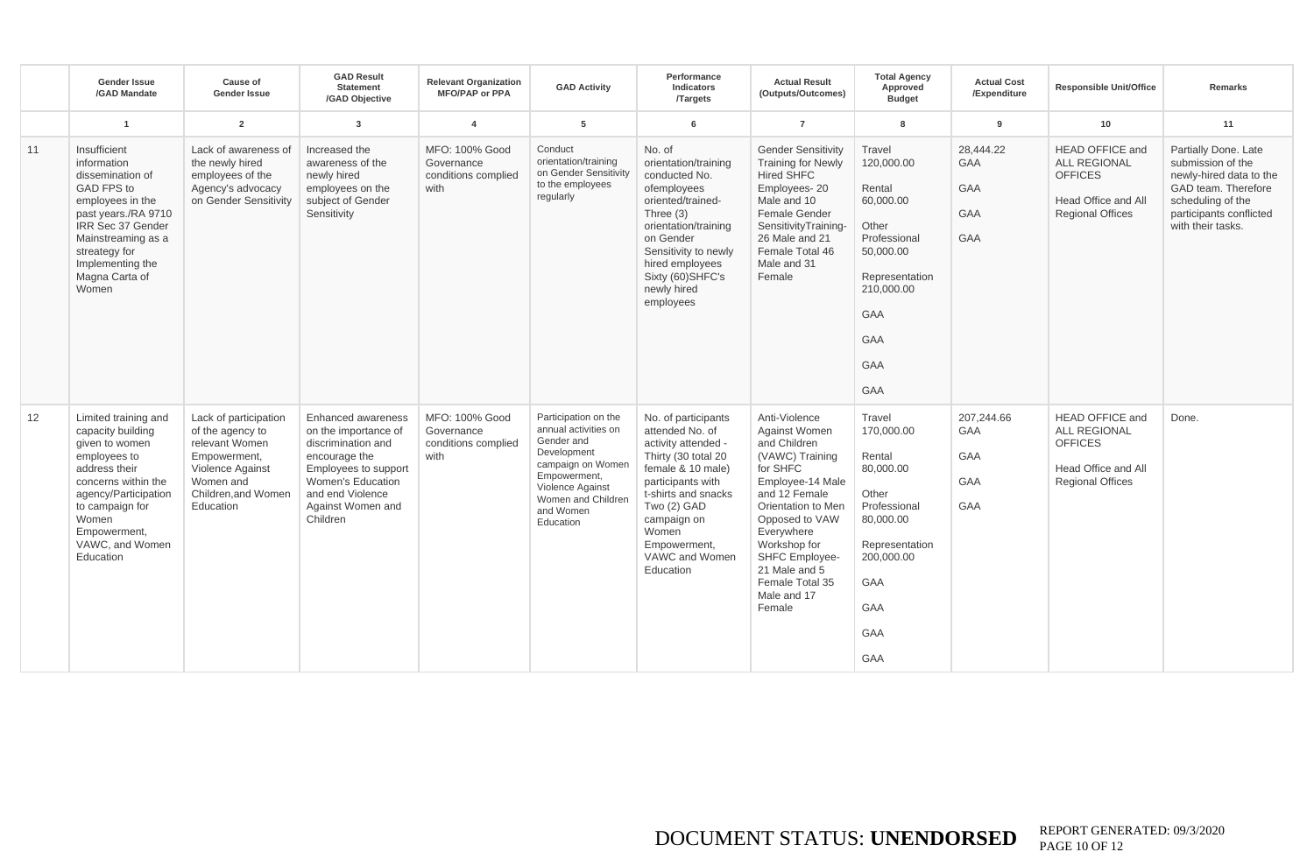|    | <b>Gender Issue</b><br>/GAD Mandate                                                                                                                                                                                     | Cause of<br><b>Gender Issue</b>                                                                                                                 | <b>GAD Result</b><br><b>Statement</b><br>/GAD Objective                                                                                                                                    | <b>Relevant Organization</b><br><b>MFO/PAP or PPA</b>       | <b>GAD Activity</b>                                                                                                                                                                | Performance<br>Indicators<br><b>Targets</b>                                                                                                                                                                                                 | <b>Actual Result</b><br>(Outputs/Outcomes)                                                                                                                                                                                                                                     | <b>Total Agency</b><br>Approved<br><b>Budget</b>                                                                                                                          | <b>Actual Cost</b><br>/Expenditure                         | <b>Responsible Unit/Office</b>                                                                                    | <b>Remarks</b>                                                                                                                                                   |
|----|-------------------------------------------------------------------------------------------------------------------------------------------------------------------------------------------------------------------------|-------------------------------------------------------------------------------------------------------------------------------------------------|--------------------------------------------------------------------------------------------------------------------------------------------------------------------------------------------|-------------------------------------------------------------|------------------------------------------------------------------------------------------------------------------------------------------------------------------------------------|---------------------------------------------------------------------------------------------------------------------------------------------------------------------------------------------------------------------------------------------|--------------------------------------------------------------------------------------------------------------------------------------------------------------------------------------------------------------------------------------------------------------------------------|---------------------------------------------------------------------------------------------------------------------------------------------------------------------------|------------------------------------------------------------|-------------------------------------------------------------------------------------------------------------------|------------------------------------------------------------------------------------------------------------------------------------------------------------------|
|    | $\overline{1}$                                                                                                                                                                                                          | $\overline{2}$                                                                                                                                  | 3                                                                                                                                                                                          | $\overline{\mathbf{A}}$                                     | 5                                                                                                                                                                                  | - 6                                                                                                                                                                                                                                         | $\overline{7}$                                                                                                                                                                                                                                                                 | 8                                                                                                                                                                         | 9                                                          | 10                                                                                                                | 11                                                                                                                                                               |
| 11 | Insufficient<br>information<br>dissemination of<br>GAD FPS to<br>employees in the<br>past years./RA 9710<br>IRR Sec 37 Gender<br>Mainstreaming as a<br>streategy for<br>Implementing the<br>Magna Carta of<br>Women     | Lack of awareness of<br>the newly hired<br>employees of the<br>Agency's advocacy<br>on Gender Sensitivity                                       | Increased the<br>awareness of the<br>newly hired<br>employees on the<br>subject of Gender<br>Sensitivity                                                                                   | MFO: 100% Good<br>Governance<br>conditions complied<br>with | Conduct<br>orientation/training<br>on Gender Sensitivity<br>to the employees<br>regularly                                                                                          | No. of<br>orientation/training<br>conducted No.<br>ofemployees<br>oriented/trained-<br>Three (3)<br>orientation/training<br>on Gender<br>Sensitivity to newly<br>hired employees<br>Sixty (60) SHFC's<br>newly hired<br>employees           | <b>Gender Sensitivity</b><br><b>Training for Newly</b><br><b>Hired SHFC</b><br>Employees-20<br>Male and 10<br>Female Gender<br>SensitivityTraining-<br>26 Male and 21<br>Female Total 46<br>Male and 31<br>Female                                                              | Travel<br>120,000.00<br>Rental<br>60,000.00<br>Other<br>Professional<br>50,000.00<br>Representation<br>210,000.00<br><b>GAA</b><br><b>GAA</b><br><b>GAA</b><br><b>GAA</b> | 28.444.22<br><b>GAA</b><br><b>GAA</b><br>GAA<br><b>GAA</b> | <b>HEAD OFFICE and</b><br><b>ALL REGIONAL</b><br><b>OFFICES</b><br>Head Office and All<br><b>Regional Offices</b> | Partially Done. Late<br>submission of the<br>newly-hired data to the<br>GAD team. Therefore<br>scheduling of the<br>participants conflicted<br>with their tasks. |
| 12 | Limited training and<br>capacity building<br>given to women<br>employees to<br>address their<br>concerns within the<br>agency/Participation<br>to campaign for<br>Women<br>Empowerment,<br>VAWC, and Women<br>Education | Lack of participation<br>of the agency to<br>relevant Women<br>Empowerment,<br>Violence Against<br>Women and<br>Children.and Women<br>Education | <b>Enhanced awareness</b><br>on the importance of<br>discrimination and<br>encourage the<br>Employees to support<br>Women's Education<br>and end Violence<br>Against Women and<br>Children | MFO: 100% Good<br>Governance<br>conditions complied<br>with | Participation on the<br>annual activities on<br>Gender and<br>Development<br>campaign on Women<br>Empowerment,<br>Violence Against<br>Women and Children<br>and Women<br>Education | No. of participants<br>attended No. of<br>activity attended -<br>Thirty (30 total 20<br>female & 10 male)<br>participants with<br>t-shirts and snacks<br>Two (2) GAD<br>campaign on<br>Women<br>Empowerment,<br>VAWC and Women<br>Education | Anti-Violence<br>Against Women<br>and Children<br>(VAWC) Training<br>for SHFC<br>Employee-14 Male<br>and 12 Female<br>Orientation to Men<br>Opposed to VAW<br>Everywhere<br>Workshop for<br><b>SHFC Employee-</b><br>21 Male and 5<br>Female Total 35<br>Male and 17<br>Female | Travel<br>170,000.00<br>Rental<br>80,000.00<br>Other<br>Professional<br>80,000.00<br>Representation<br>200,000.00<br><b>GAA</b><br>GAA<br><b>GAA</b><br><b>GAA</b>        | 207,244.66<br>GAA<br>GAA<br>GAA<br>GAA                     | <b>HEAD OFFICE and</b><br>ALL REGIONAL<br><b>OFFICES</b><br>Head Office and All<br><b>Regional Offices</b>        | Done.                                                                                                                                                            |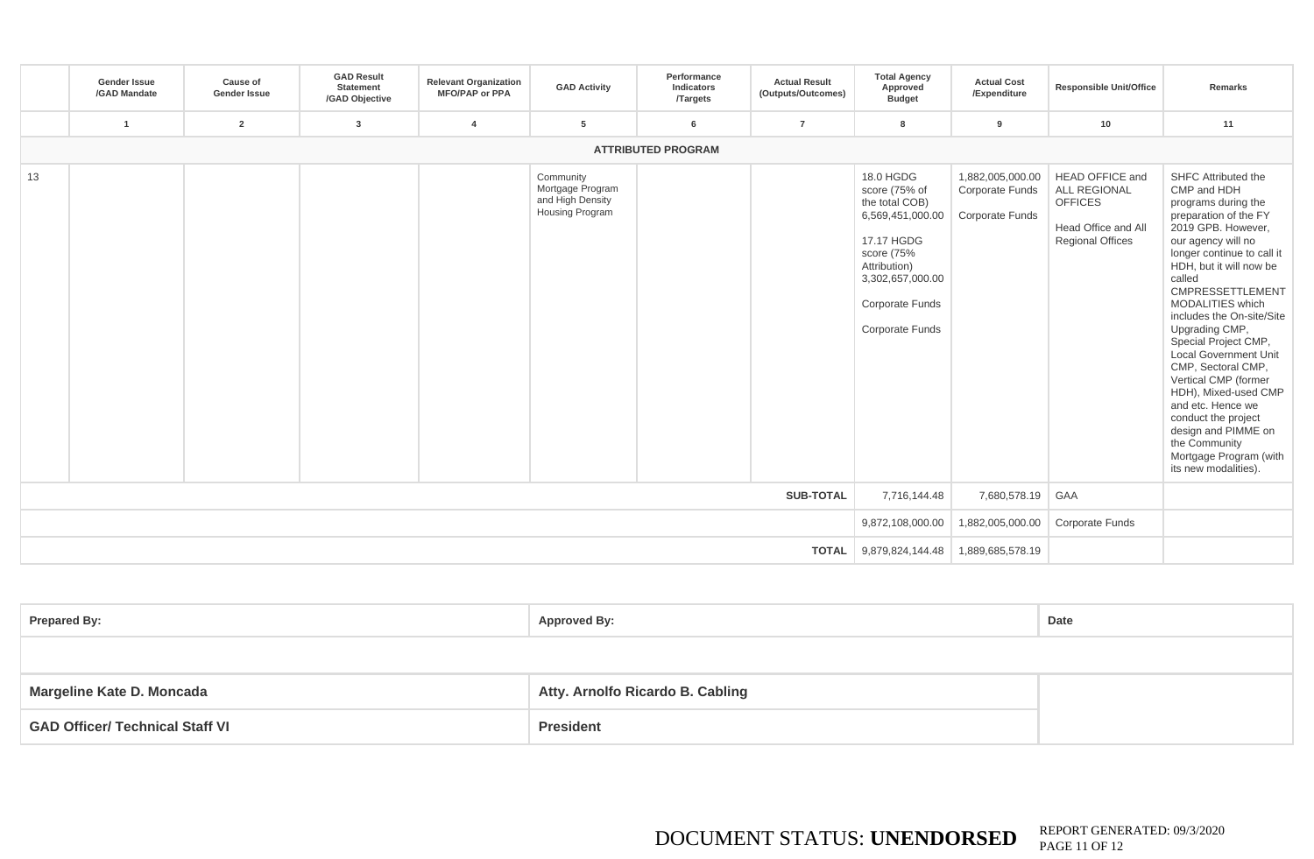|    | <b>Gender Issue</b><br>/GAD Mandate | Cause of<br><b>Gender Issue</b> | <b>GAD Result</b><br>Statement<br>/GAD Objective | <b>Relevant Organization</b><br><b>MFO/PAP or PPA</b> | <b>GAD Activity</b>                                                         | Performance<br>Indicators<br><b>Targets</b> | <b>Actual Result</b><br>(Outputs/Outcomes) | <b>Total Agency</b><br>Approved<br><b>Budget</b>                                                                                                                                     | <b>Actual Cost</b><br>/Expenditure                            | <b>Responsible Unit/Office</b>                                                                                    | Remarks                                                                                                                                                                                                                                                                                                                                                                                                                                                                                                                                                             |
|----|-------------------------------------|---------------------------------|--------------------------------------------------|-------------------------------------------------------|-----------------------------------------------------------------------------|---------------------------------------------|--------------------------------------------|--------------------------------------------------------------------------------------------------------------------------------------------------------------------------------------|---------------------------------------------------------------|-------------------------------------------------------------------------------------------------------------------|---------------------------------------------------------------------------------------------------------------------------------------------------------------------------------------------------------------------------------------------------------------------------------------------------------------------------------------------------------------------------------------------------------------------------------------------------------------------------------------------------------------------------------------------------------------------|
|    |                                     | $\overline{2}$                  | 3                                                | 4                                                     | 5                                                                           | 6                                           | $\overline{7}$                             | -8                                                                                                                                                                                   | 9                                                             | 10                                                                                                                | 11                                                                                                                                                                                                                                                                                                                                                                                                                                                                                                                                                                  |
|    |                                     |                                 |                                                  |                                                       |                                                                             | <b>ATTRIBUTED PROGRAM</b>                   |                                            |                                                                                                                                                                                      |                                                               |                                                                                                                   |                                                                                                                                                                                                                                                                                                                                                                                                                                                                                                                                                                     |
| 13 |                                     |                                 |                                                  |                                                       | Community<br>Mortgage Program<br>and High Density<br><b>Housing Program</b> |                                             |                                            | 18.0 HGDG<br>score (75% of<br>the total COB)<br>6,569,451,000.00<br>17.17 HGDG<br>score (75%<br>Attribution)<br>3,302,657,000.00<br><b>Corporate Funds</b><br><b>Corporate Funds</b> | 1,882,005,000.00<br>Corporate Funds<br><b>Corporate Funds</b> | <b>HEAD OFFICE and</b><br><b>ALL REGIONAL</b><br><b>OFFICES</b><br>Head Office and All<br><b>Regional Offices</b> | SHFC Attributed the<br>CMP and HDH<br>programs during the<br>preparation of the FY<br>2019 GPB. However,<br>our agency will no<br>longer continue to call it<br>HDH, but it will now be<br>called<br><b>CMPRESSETTLEMENT</b><br>MODALITIES which<br>includes the On-site/Site<br>Upgrading CMP,<br>Special Project CMP,<br><b>Local Government Unit</b><br>CMP, Sectoral CMP,<br>Vertical CMP (former<br>HDH), Mixed-used CMP<br>and etc. Hence we<br>conduct the project<br>design and PIMME on<br>the Community<br>Mortgage Program (with<br>its new modalities). |
|    |                                     |                                 |                                                  |                                                       |                                                                             |                                             | <b>SUB-TOTAL</b>                           | 7,716,144.48                                                                                                                                                                         | 7,680,578.19                                                  | <b>GAA</b>                                                                                                        |                                                                                                                                                                                                                                                                                                                                                                                                                                                                                                                                                                     |
|    |                                     |                                 |                                                  |                                                       | 9,872,108,000.00                                                            | 1,882,005,000.00                            | <b>Corporate Funds</b>                     |                                                                                                                                                                                      |                                                               |                                                                                                                   |                                                                                                                                                                                                                                                                                                                                                                                                                                                                                                                                                                     |
|    |                                     |                                 |                                                  |                                                       |                                                                             |                                             | <b>TOTAL</b>                               |                                                                                                                                                                                      |                                                               |                                                                                                                   |                                                                                                                                                                                                                                                                                                                                                                                                                                                                                                                                                                     |

| <b>Prepared By:</b>                    | <b>Approved By:</b>              | Date |
|----------------------------------------|----------------------------------|------|
|                                        |                                  |      |
| Margeline Kate D. Moncada              | Atty. Arnolfo Ricardo B. Cabling |      |
| <b>GAD Officer/ Technical Staff VI</b> | <b>President</b>                 |      |